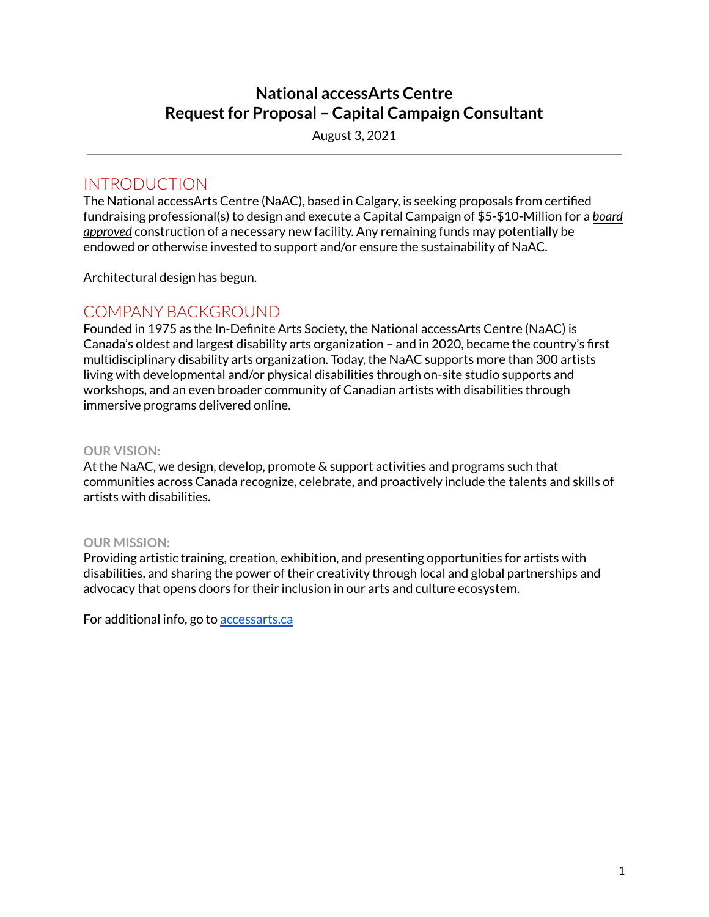# **National accessArts Centre Requestfor Proposal – Capital Campaign Consultant**

August 3, 2021

## INTRODUCTION

The National accessArts Centre (NaAC), based in Calgary, is seeking proposals from certified fundraising professional(s) to design and execute a Capital Campaign of \$5-\$10-Million for a *board approved* construction of a necessary new facility. Any remaining funds may potentially be endowed or otherwise invested to support and/or ensure the sustainability of NaAC.

Architectural design has begun.

## COMPANY BACKGROUND

Founded in 1975 as the In-Definite Arts Society, the National accessArts Centre (NaAC) is Canada's oldest and largest disability arts organization – and in 2020, became the country's first multidisciplinary disability arts organization. Today, the NaAC supports more than 300 artists living with developmental and/or physical disabilities through on-site studio supports and workshops, and an even broader community of Canadian artists with disabilities through immersive programs delivered online.

### **OUR VISION:**

At the NaAC, we design, develop, promote & support activities and programs such that communities across Canada recognize, celebrate, and proactively include the talents and skills of artists with disabilities.

### **OUR MISSION:**

Providing artistic training, creation, exhibition, and presenting opportunities for artists with disabilities, and sharing the power of their creativity through local and global partnerships and advocacy that opens doors for their inclusion in our arts and culture ecosystem.

For additional info, go to [accessarts.ca](https://accessarts.ca/)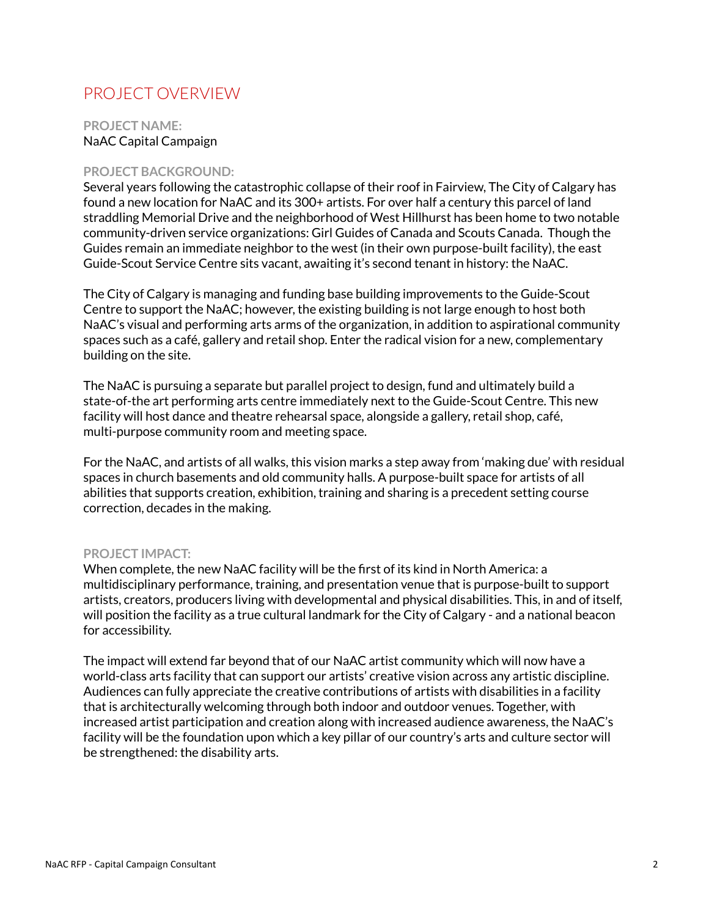# PROJECT OVERVIEW

**PROJECT NAME:** NaAC Capital Campaign

#### **PROJECT BACKGROUND:**

Several years following the catastrophic collapse of their roof in Fairview, The City of Calgary has found a new location for NaAC and its 300+ artists. For over half a century this parcel of land straddling Memorial Drive and the neighborhood of West Hillhurst has been home to two notable community-driven service organizations: Girl Guides of Canada and Scouts Canada. Though the Guides remain an immediate neighbor to the west (in their own purpose-built facility), the east Guide-Scout Service Centre sits vacant, awaiting it's second tenant in history: the NaAC.

The City of Calgary is managing and funding base building improvements to the Guide-Scout Centre to support the NaAC; however, the existing building is not large enough to host both NaAC's visual and performing arts arms of the organization, in addition to aspirational community spaces such as a café, gallery and retail shop. Enter the radical vision for a new, complementary building on the site.

The NaAC is pursuing a separate but parallel project to design, fund and ultimately build a state-of-the art performing arts centre immediately next to the Guide-Scout Centre. This new facility will host dance and theatre rehearsal space, alongside a gallery, retail shop, café, multi-purpose community room and meeting space.

For the NaAC, and artists of all walks, this vision marks a step away from 'making due' with residual spaces in church basements and old community halls. A purpose-built space for artists of all abilities that supports creation, exhibition, training and sharing is a precedent setting course correction, decades in the making.

#### **PROJECT IMPACT:**

When complete, the new NaAC facility will be the first of its kind in North America: a multidisciplinary performance, training, and presentation venue that is purpose-built to support artists, creators, producers living with developmental and physical disabilities. This, in and of itself, will position the facility as a true cultural landmark for the City of Calgary - and a national beacon for accessibility.

The impact will extend far beyond that of our NaAC artist community which will now have a world-class arts facility that can support our artists' creative vision across any artistic discipline. Audiences can fully appreciate the creative contributions of artists with disabilities in a facility that is architecturally welcoming through both indoor and outdoor venues. Together, with increased artist participation and creation along with increased audience awareness, the NaAC's facility will be the foundation upon which a key pillar of our country's arts and culture sector will be strengthened: the disability arts.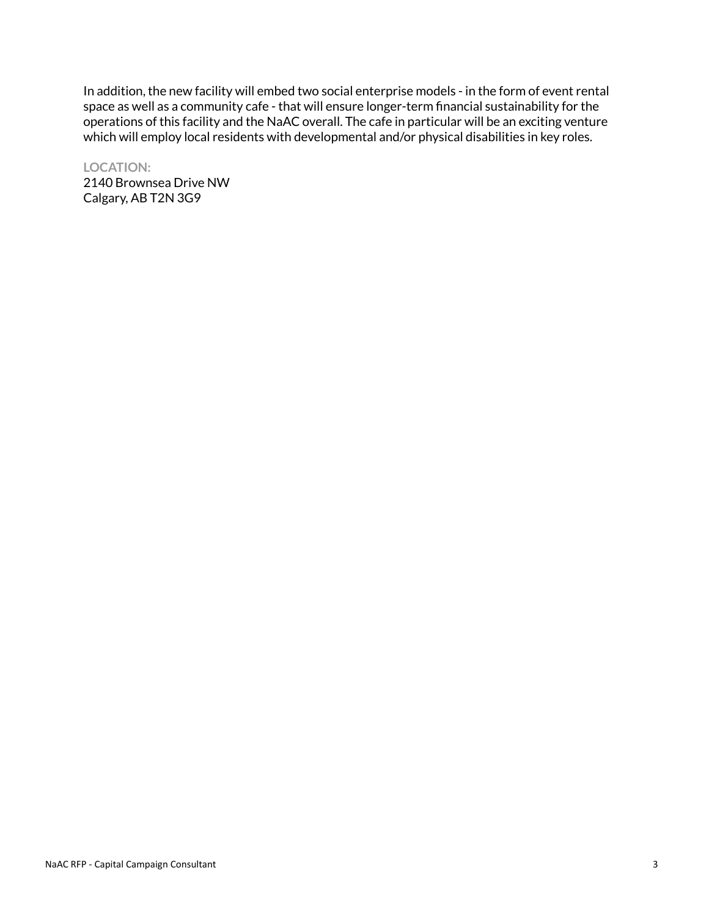In addition, the new facility will embed two social enterprise models - in the form of event rental space as well as a community cafe - that will ensure longer-term financial sustainability for the operations of this facility and the NaAC overall. The cafe in particular will be an exciting venture which will employ local residents with developmental and/or physical disabilities in key roles.

**LOCATION:** 2140 Brownsea Drive NW Calgary, AB T2N 3G9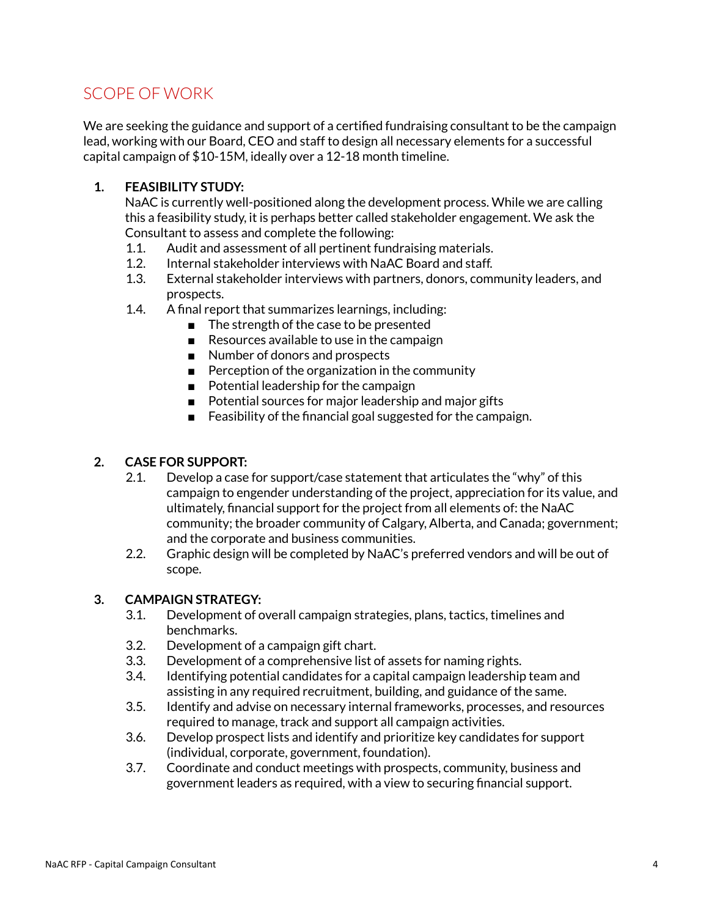# SCOPE OF WORK

We are seeking the guidance and support of a certified fundraising consultant to be the campaign lead, working with our Board, CEO and staff to design all necessary elements for a successful capital campaign of \$10-15M, ideally over a 12-18 month timeline.

## **1. FEASIBILITY STUDY:**

NaAC is currently well-positioned along the development process. While we are calling this a feasibility study, it is perhaps better called stakeholder engagement. We ask the Consultant to assess and complete the following:

- 1.1. Audit and assessment of all pertinent fundraising materials.
- 1.2. Internal stakeholder interviews with NaAC Board and staff.
- 1.3. External stakeholder interviews with partners, donors, community leaders, and prospects.
- 1.4. A final report that summarizes learnings, including:
	- The strength of the case to be presented
	- Resources available to use in the campaign
	- Number of donors and prospects
	- Perception of the organization in the community
	- Potential leadership for the campaign
	- Potential sources for major leadership and major gifts
	- Feasibility of the financial goal suggested for the campaign.

### **2. CASE FOR SUPPORT:**

- 2.1. Develop a case for support/case statement that articulates the "why" of this campaign to engender understanding of the project, appreciation for its value, and ultimately, financial support for the project from all elements of: the NaAC community; the broader community of Calgary, Alberta, and Canada; government; and the corporate and business communities.
- 2.2. Graphic design will be completed by NaAC's preferred vendors and will be out of scope.

### **3. CAMPAIGN STRATEGY:**

- 3.1. Development of overall campaign strategies, plans, tactics, timelines and benchmarks.
- 3.2. Development of a campaign gift chart.
- 3.3. Development of a comprehensive list of assets for naming rights.
- 3.4. Identifying potential candidates for a capital campaign leadership team and assisting in any required recruitment, building, and guidance of the same.
- 3.5. Identify and advise on necessary internal frameworks, processes, and resources required to manage, track and support all campaign activities.
- 3.6. Develop prospect lists and identify and prioritize key candidates for support (individual, corporate, government, foundation).
- 3.7. Coordinate and conduct meetings with prospects, community, business and government leaders as required, with a view to securing financial support.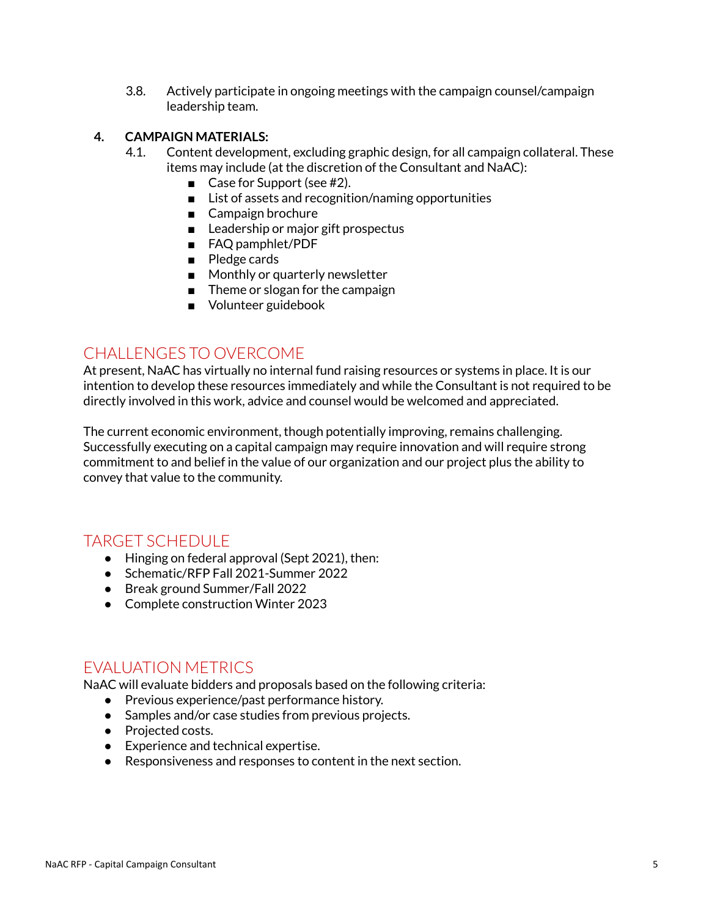3.8. Actively participate in ongoing meetings with the campaign counsel/campaign leadership team.

### **4. CAMPAIGN MATERIALS:**

- 4.1. Content development, excluding graphic design, for all campaign collateral. These items may include (at the discretion of the Consultant and NaAC):
	- Case for Support (see #2).
	- List of assets and recognition/naming opportunities
	- Campaign brochure
	- Leadership or major gift prospectus
	- FAQ pamphlet/PDF
	- Pledge cards
	- Monthly or quarterly newsletter
	- Theme or slogan for the campaign
	- Volunteer guidebook

## CHALLENGES TO OVERCOME

At present, NaAC has virtually no internal fund raising resources or systems in place. It is our intention to develop these resources immediately and while the Consultant is not required to be directly involved in this work, advice and counsel would be welcomed and appreciated.

The current economic environment, though potentially improving, remains challenging. Successfully executing on a capital campaign may require innovation and will require strong commitment to and belief in the value of our organization and our project plus the ability to convey that value to the community.

## TARGET SCHEDULE

- Hinging on federal approval (Sept 2021), then:
- Schematic/RFP Fall 2021-Summer 2022
- Break ground Summer/Fall 2022
- Complete construction Winter 2023

## EVALUATION METRICS

NaAC will evaluate bidders and proposals based on the following criteria:

- Previous experience/past performance history.
- Samples and/or case studies from previous projects.
- Projected costs.
- Experience and technical expertise.
- Responsiveness and responses to content in the next section.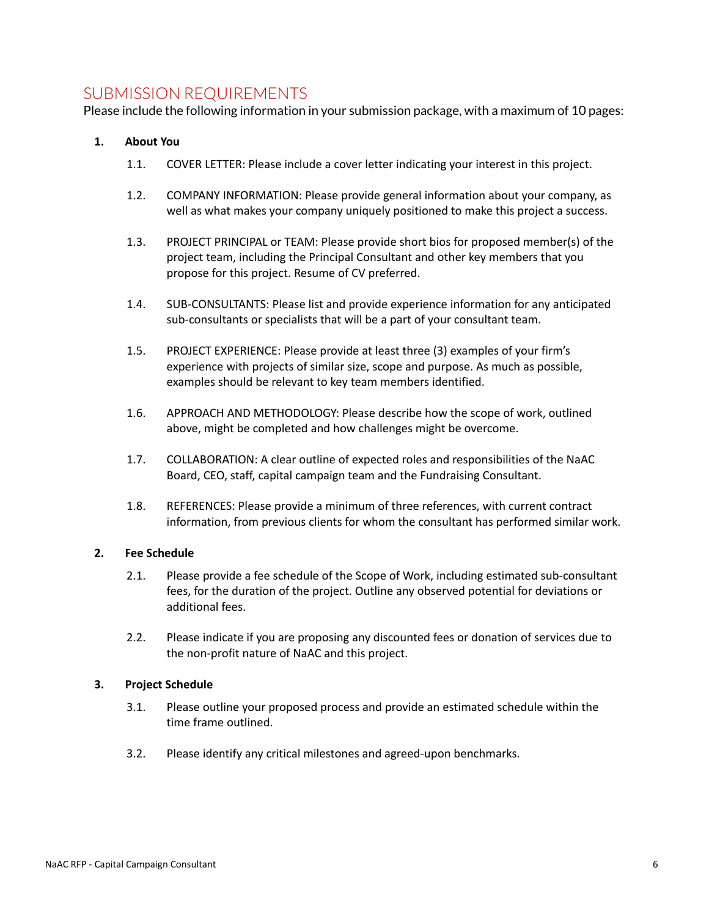## SUBMISSION REQUIREMENTS

Please include the following information in your submission package, with a maximum of 10 pages:

#### **1. About You**

- 1.1. COVER LETTER: Please include a cover letter indicating your interest in this project.
- 1.2. COMPANY INFORMATION: Please provide general information about your company, as well as what makes your company uniquely positioned to make this project a success.
- 1.3. PROJECT PRINCIPAL or TEAM: Please provide short bios for proposed member(s) of the project team, including the Principal Consultant and other key members that you propose for this project. Resume of CV preferred.
- 1.4. SUB-CONSULTANTS: Please list and provide experience information for any anticipated sub-consultants or specialists that will be a part of your consultant team.
- 1.5. PROJECT EXPERIENCE: Please provide at least three (3) examples of your firm's experience with projects of similar size, scope and purpose. As much as possible, examples should be relevant to key team members identified.
- 1.6. APPROACH AND METHODOLOGY: Please describe how the scope of work, outlined above, might be completed and how challenges might be overcome.
- 1.7. COLLABORATION: A clear outline of expected roles and responsibilities of the NaAC Board, CEO, staff, capital campaign team and the Fundraising Consultant.
- 1.8. REFERENCES: Please provide a minimum of three references, with current contract information, from previous clients for whom the consultant has performed similar work.

#### **2. Fee Schedule**

- 2.1. Please provide a fee schedule of the Scope of Work, including estimated sub-consultant fees, for the duration of the project. Outline any observed potential for deviations or additional fees.
- 2.2. Please indicate if you are proposing any discounted fees or donation of services due to the non-profit nature of NaAC and this project.

#### **3. Project Schedule**

- 3.1. Please outline your proposed process and provide an estimated schedule within the time frame outlined.
- 3.2. Please identify any critical milestones and agreed-upon benchmarks.